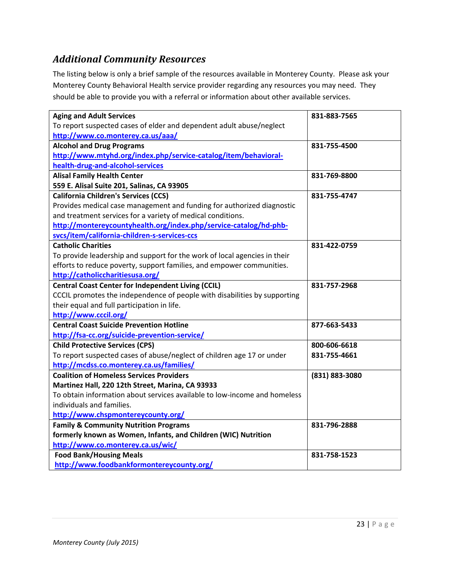### *Additional Community Resources*

The listing below is only a brief sample of the resources available in Monterey County. Please ask your Monterey County Behavioral Health service provider regarding any resources you may need. They should be able to provide you with a referral or information about other available services.

| <b>Aging and Adult Services</b>                                           | 831-883-7565   |
|---------------------------------------------------------------------------|----------------|
| To report suspected cases of elder and dependent adult abuse/neglect      |                |
| http://www.co.monterey.ca.us/aaa/                                         |                |
| <b>Alcohol and Drug Programs</b>                                          | 831-755-4500   |
| http://www.mtyhd.org/index.php/service-catalog/item/behavioral-           |                |
| health-drug-and-alcohol-services                                          |                |
| <b>Alisal Family Health Center</b>                                        | 831-769-8800   |
| 559 E. Alisal Suite 201, Salinas, CA 93905                                |                |
| <b>California Children's Services (CCS)</b>                               | 831-755-4747   |
| Provides medical case management and funding for authorized diagnostic    |                |
| and treatment services for a variety of medical conditions.               |                |
| http://montereycountyhealth.org/index.php/service-catalog/hd-phb-         |                |
| svcs/item/california-children-s-services-ccs                              |                |
| <b>Catholic Charities</b>                                                 | 831-422-0759   |
| To provide leadership and support for the work of local agencies in their |                |
| efforts to reduce poverty, support families, and empower communities.     |                |
| http://catholiccharitiesusa.org/                                          |                |
| <b>Central Coast Center for Independent Living (CCIL)</b>                 | 831-757-2968   |
| CCCIL promotes the independence of people with disabilities by supporting |                |
| their equal and full participation in life.                               |                |
| http://www.cccil.org/                                                     |                |
| <b>Central Coast Suicide Prevention Hotline</b>                           | 877-663-5433   |
| http://fsa-cc.org/suicide-prevention-service/                             |                |
| <b>Child Protective Services (CPS)</b>                                    | 800-606-6618   |
| To report suspected cases of abuse/neglect of children age 17 or under    | 831-755-4661   |
| http://mcdss.co.monterey.ca.us/families/                                  |                |
| <b>Coalition of Homeless Services Providers</b>                           | (831) 883-3080 |
| Martinez Hall, 220 12th Street, Marina, CA 93933                          |                |
| To obtain information about services available to low-income and homeless |                |
| individuals and families.                                                 |                |
| http://www.chspmontereycounty.org/                                        |                |
| <b>Family &amp; Community Nutrition Programs</b>                          | 831-796-2888   |
| formerly known as Women, Infants, and Children (WIC) Nutrition            |                |
| http://www.co.monterey.ca.us/wic/                                         |                |
| <b>Food Bank/Housing Meals</b>                                            | 831-758-1523   |
| http://www.foodbankformontereycounty.org/                                 |                |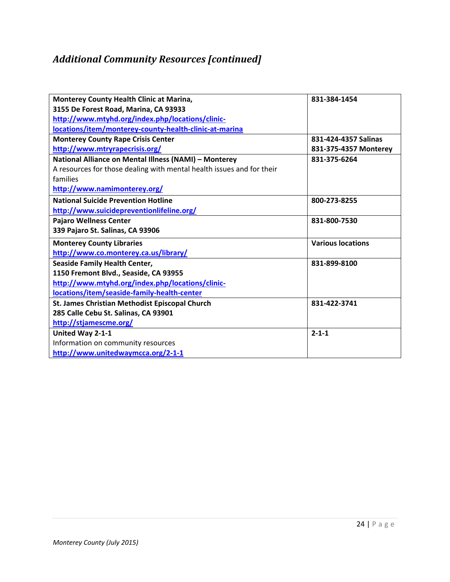# *Additional Community Resources [continued]*

| Monterey County Health Clinic at Marina,                              | 831-384-1454             |
|-----------------------------------------------------------------------|--------------------------|
| 3155 De Forest Road, Marina, CA 93933                                 |                          |
| http://www.mtyhd.org/index.php/locations/clinic-                      |                          |
| locations/item/monterey-county-health-clinic-at-marina                |                          |
| <b>Monterey County Rape Crisis Center</b>                             | 831-424-4357 Salinas     |
| http://www.mtryrapecrisis.org/                                        | 831-375-4357 Monterey    |
| National Alliance on Mental Illness (NAMI) - Monterey                 | 831-375-6264             |
| A resources for those dealing with mental health issues and for their |                          |
| families                                                              |                          |
| http://www.namimonterey.org/                                          |                          |
| <b>National Suicide Prevention Hotline</b>                            | 800-273-8255             |
| http://www.suicidepreventionlifeline.org/                             |                          |
| <b>Pajaro Wellness Center</b>                                         | 831-800-7530             |
| 339 Pajaro St. Salinas, CA 93906                                      |                          |
| <b>Monterey County Libraries</b>                                      | <b>Various locations</b> |
| http://www.co.monterey.ca.us/library/                                 |                          |
| <b>Seaside Family Health Center,</b>                                  | 831-899-8100             |
| 1150 Fremont Blvd., Seaside, CA 93955                                 |                          |
| http://www.mtyhd.org/index.php/locations/clinic-                      |                          |
| locations/item/seaside-family-health-center                           |                          |
| St. James Christian Methodist Episcopal Church                        | 831-422-3741             |
| 285 Calle Cebu St. Salinas, CA 93901                                  |                          |
| http://stjamescme.org/                                                |                          |
| United Way 2-1-1                                                      | $2 - 1 - 1$              |
| Information on community resources                                    |                          |
| http://www.unitedwaymcca.org/2-1-1                                    |                          |